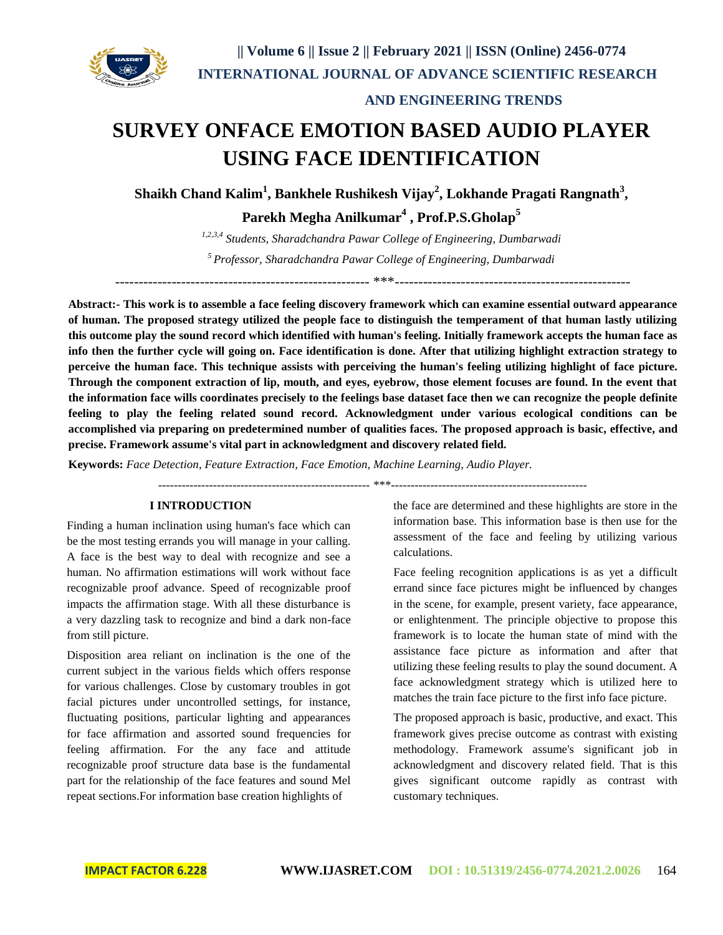

## **AND ENGINEERING TRENDS**

## **SURVEY ONFACE EMOTION BASED AUDIO PLAYER USING FACE IDENTIFICATION**

 $\mathbf{S}$ haikh Chand Kalim<sup>1</sup>, Bankhele Rushikesh Vijay<sup>2</sup>, Lokhande Pragati Rangnath<sup>3</sup>,

**Parekh Megha Anilkumar<sup>4</sup> , Prof.P.S.Gholap<sup>5</sup>**

*1,2,3,4 Students, Sharadchandra Pawar College of Engineering, Dumbarwadi <sup>5</sup> Professor, Sharadchandra Pawar College of Engineering, Dumbarwadi* ------------------------------------------------------ \*\*\*--------------------------------------------------

**Abstract:- This work is to assemble a face feeling discovery framework which can examine essential outward appearance of human. The proposed strategy utilized the people face to distinguish the temperament of that human lastly utilizing this outcome play the sound record which identified with human's feeling. Initially framework accepts the human face as info then the further cycle will going on. Face identification is done. After that utilizing highlight extraction strategy to perceive the human face. This technique assists with perceiving the human's feeling utilizing highlight of face picture. Through the component extraction of lip, mouth, and eyes, eyebrow, those element focuses are found. In the event that the information face wills coordinates precisely to the feelings base dataset face then we can recognize the people definite feeling to play the feeling related sound record. Acknowledgment under various ecological conditions can be accomplished via preparing on predetermined number of qualities faces. The proposed approach is basic, effective, and precise. Framework assume's vital part in acknowledgment and discovery related field.**

**Keywords:** *Face Detection, Feature Extraction, Face Emotion, Machine Learning, Audio Player.*

------------------------------------------------------ \*\*\*--------------------------------------------------

### **I INTRODUCTION**

Finding a human inclination using human's face which can be the most testing errands you will manage in your calling. A face is the best way to deal with recognize and see a human. No affirmation estimations will work without face recognizable proof advance. Speed of recognizable proof impacts the affirmation stage. With all these disturbance is a very dazzling task to recognize and bind a dark non-face from still picture.

Disposition area reliant on inclination is the one of the current subject in the various fields which offers response for various challenges. Close by customary troubles in got facial pictures under uncontrolled settings, for instance, fluctuating positions, particular lighting and appearances for face affirmation and assorted sound frequencies for feeling affirmation. For the any face and attitude recognizable proof structure data base is the fundamental part for the relationship of the face features and sound Mel repeat sections.For information base creation highlights of

the face are determined and these highlights are store in the information base. This information base is then use for the assessment of the face and feeling by utilizing various calculations.

Face feeling recognition applications is as yet a difficult errand since face pictures might be influenced by changes in the scene, for example, present variety, face appearance, or enlightenment. The principle objective to propose this framework is to locate the human state of mind with the assistance face picture as information and after that utilizing these feeling results to play the sound document. A face acknowledgment strategy which is utilized here to matches the train face picture to the first info face picture.

The proposed approach is basic, productive, and exact. This framework gives precise outcome as contrast with existing methodology. Framework assume's significant job in acknowledgment and discovery related field. That is this gives significant outcome rapidly as contrast with customary techniques.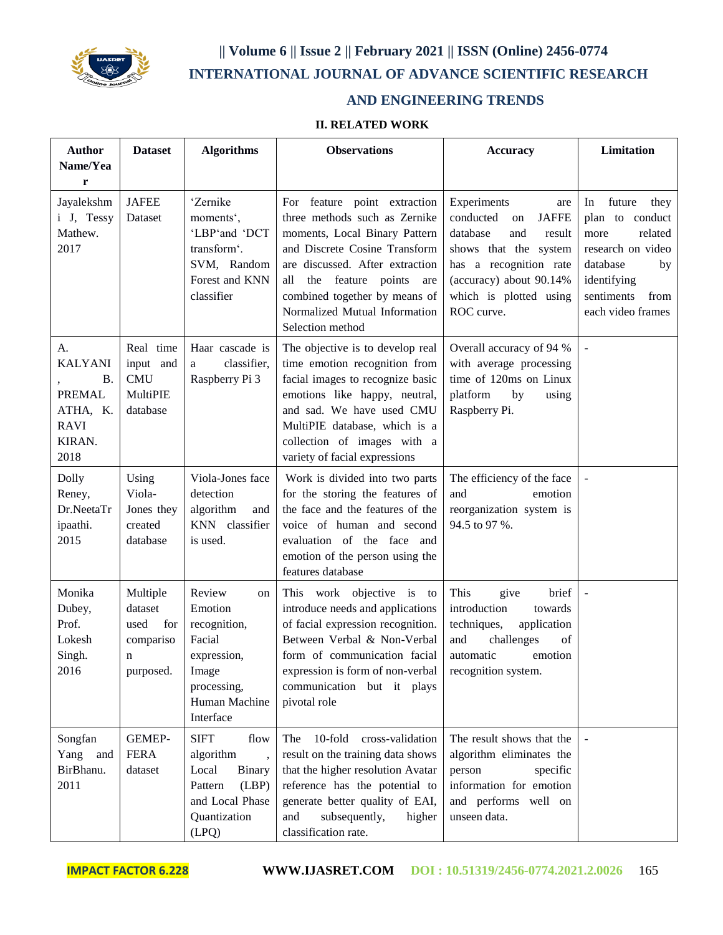

# **|| Volume 6 || Issue 2 || February 2021 || ISSN (Online) 2456-0774 INTERNATIONAL JOURNAL OF ADVANCE SCIENTIFIC RESEARCH**

## **AND ENGINEERING TRENDS**

## **II. RELATED WORK**

| <b>Author</b>                                                                            | <b>Dataset</b>                                                    | <b>Algorithms</b>                                                                                                      | <b>Observations</b>                                                                                                                                                                                                                                                                             | <b>Accuracy</b>                                                                                                                                                                                          | Limitation                                                                                                                                                  |
|------------------------------------------------------------------------------------------|-------------------------------------------------------------------|------------------------------------------------------------------------------------------------------------------------|-------------------------------------------------------------------------------------------------------------------------------------------------------------------------------------------------------------------------------------------------------------------------------------------------|----------------------------------------------------------------------------------------------------------------------------------------------------------------------------------------------------------|-------------------------------------------------------------------------------------------------------------------------------------------------------------|
| Name/Yea<br>r                                                                            |                                                                   |                                                                                                                        |                                                                                                                                                                                                                                                                                                 |                                                                                                                                                                                                          |                                                                                                                                                             |
| Jayalekshm<br>i J, Tessy<br>Mathew.<br>2017                                              | <b>JAFEE</b><br>Dataset                                           | 'Zernike<br>moments',<br>'LBP'and 'DCT<br>transform'.<br>SVM, Random<br>Forest and KNN<br>classifier                   | For feature point extraction<br>three methods such as Zernike<br>moments, Local Binary Pattern<br>and Discrete Cosine Transform<br>are discussed. After extraction<br>feature points<br>all<br>the<br>are<br>combined together by means of<br>Normalized Mutual Information<br>Selection method | Experiments<br>are<br>conducted<br><b>JAFFE</b><br>on<br>database<br>and<br>result<br>shows that the system<br>has a recognition rate<br>(accuracy) about 90.14%<br>which is plotted using<br>ROC curve. | future<br>they<br>In<br>plan to conduct<br>related<br>more<br>research on video<br>database<br>by<br>identifying<br>sentiments<br>from<br>each video frames |
| А.<br><b>KALYANI</b><br>Β.<br><b>PREMAL</b><br>ATHA, K.<br><b>RAVI</b><br>KIRAN.<br>2018 | Real time<br>input and<br>CMU<br>MultiPIE<br>database             | Haar cascade is<br>classifier,<br>a<br>Raspberry Pi 3                                                                  | The objective is to develop real<br>time emotion recognition from<br>facial images to recognize basic<br>emotions like happy, neutral,<br>and sad. We have used CMU<br>MultiPIE database, which is a<br>collection of images with a<br>variety of facial expressions                            | Overall accuracy of 94 %<br>with average processing<br>time of 120ms on Linux<br>platform<br>by<br>using<br>Raspberry Pi.                                                                                |                                                                                                                                                             |
| Dolly<br>Reney,<br>Dr.NeetaTr<br>ipaathi.<br>2015                                        | Using<br>Viola-<br>Jones they<br>created<br>database              | Viola-Jones face<br>detection<br>algorithm<br>and<br>KNN classifier<br>is used.                                        | Work is divided into two parts<br>for the storing the features of<br>the face and the features of the<br>voice of human and second<br>evaluation of the face and<br>emotion of the person using the<br>features database                                                                        | The efficiency of the face<br>and<br>emotion<br>reorganization system is<br>94.5 to 97 %.                                                                                                                |                                                                                                                                                             |
| Monika<br>Dubey,<br>Prof.<br>Lokesh<br>Singh.<br>2016                                    | Multiple<br>dataset<br>used<br>for<br>compariso<br>n<br>purposed. | Review<br>on<br>Emotion<br>recognition,<br>Facial<br>expression,<br>Image<br>processing,<br>Human Machine<br>Interface | This work objective is<br>to<br>introduce needs and applications<br>of facial expression recognition.<br>Between Verbal & Non-Verbal<br>form of communication facial<br>expression is form of non-verbal<br>communication but it plays<br>pivotal role                                          | This<br>brief<br>give<br>introduction<br>towards<br>techniques,<br>application<br>and<br>challenges<br>of<br>automatic<br>emotion<br>recognition system.                                                 | $\sim$                                                                                                                                                      |
| Songfan<br>Yang<br>and<br>BirBhanu.<br>2011                                              | GEMEP-<br><b>FERA</b><br>dataset                                  | <b>SIFT</b><br>flow<br>algorithm<br>Local<br>Binary<br>Pattern<br>(LBP)<br>and Local Phase<br>Quantization<br>(LPQ)    | 10-fold cross-validation<br>The<br>result on the training data shows<br>that the higher resolution Avatar<br>reference has the potential to<br>generate better quality of EAI,<br>subsequently,<br>and<br>higher<br>classification rate.                                                        | The result shows that the<br>algorithm eliminates the<br>person<br>specific<br>information for emotion<br>and performs well on<br>unseen data.                                                           |                                                                                                                                                             |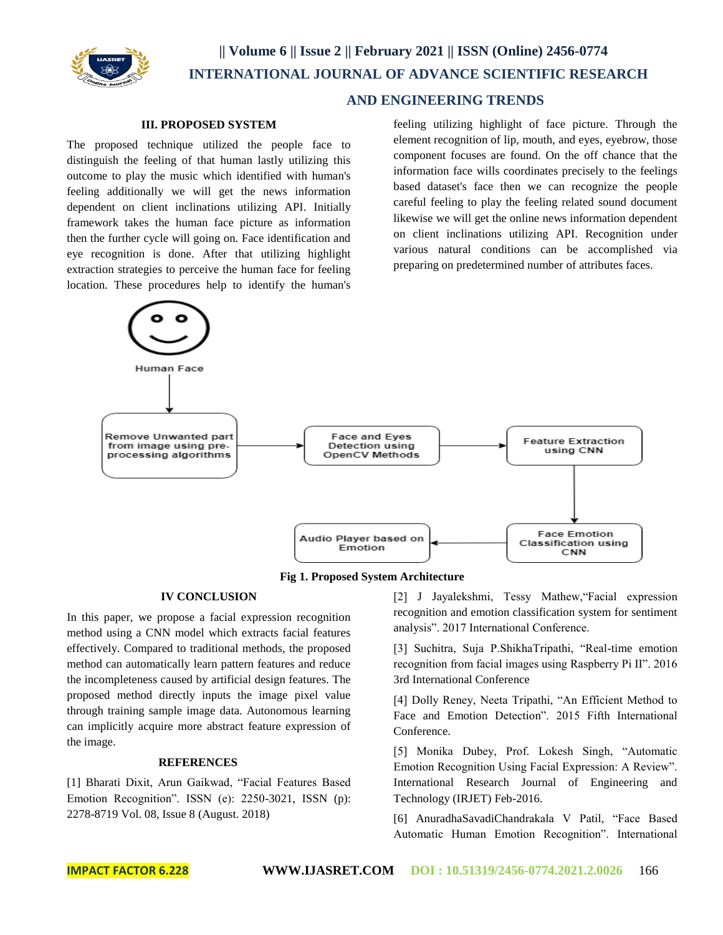

### **AND ENGINEERING TRENDS**

### **III. PROPOSED SYSTEM**

The proposed technique utilized the people face to distinguish the feeling of that human lastly utilizing this outcome to play the music which identified with human's feeling additionally we will get the news information dependent on client inclinations utilizing API. Initially framework takes the human face picture as information then the further cycle will going on. Face identification and eye recognition is done. After that utilizing highlight extraction strategies to perceive the human face for feeling location. These procedures help to identify the human's

feeling utilizing highlight of face picture. Through the element recognition of lip, mouth, and eyes, eyebrow, those component focuses are found. On the off chance that the information face wills coordinates precisely to the feelings based dataset's face then we can recognize the people careful feeling to play the feeling related sound document likewise we will get the online news information dependent on client inclinations utilizing API. Recognition under various natural conditions can be accomplished via preparing on predetermined number of attributes faces.



**Fig 1. Proposed System Architecture**

#### **IV CONCLUSION**

In this paper, we propose a facial expression recognition method using a CNN model which extracts facial features effectively. Compared to traditional methods, the proposed method can automatically learn pattern features and reduce the incompleteness caused by artificial design features. The proposed method directly inputs the image pixel value through training sample image data. Autonomous learning can implicitly acquire more abstract feature expression of the image.

#### **REFERENCES**

[1] Bharati Dixit, Arun Gaikwad, "Facial Features Based Emotion Recognition". ISSN (e): 2250-3021, ISSN (p): 2278-8719 Vol. 08, Issue 8 (August. 2018)

[2] J Jayalekshmi, Tessy Mathew,"Facial expression recognition and emotion classification system for sentiment analysis". 2017 International Conference.

[3] Suchitra, Suja P.ShikhaTripathi, "Real-time emotion recognition from facial images using Raspberry Pi II". 2016 3rd International Conference

[4] Dolly Reney, Neeta Tripathi, "An Efficient Method to Face and Emotion Detection". 2015 Fifth International Conference.

[5] Monika Dubey, Prof. Lokesh Singh, "Automatic Emotion Recognition Using Facial Expression: A Review". International Research Journal of Engineering and Technology (IRJET) Feb-2016.

[6] AnuradhaSavadiChandrakala V Patil, "Face Based Automatic Human Emotion Recognition". International